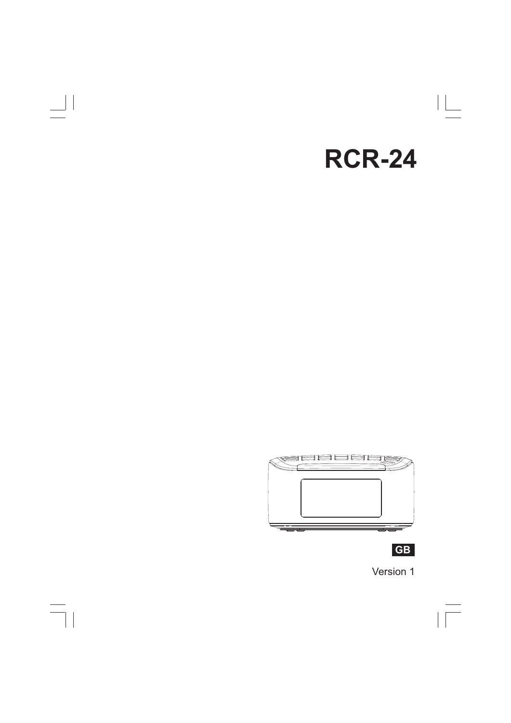# 

 $\overline{\overline{\mathbb{u}}}$ 

## **RCR-24**



**中文GB**

 $\sqrt{1}$ 

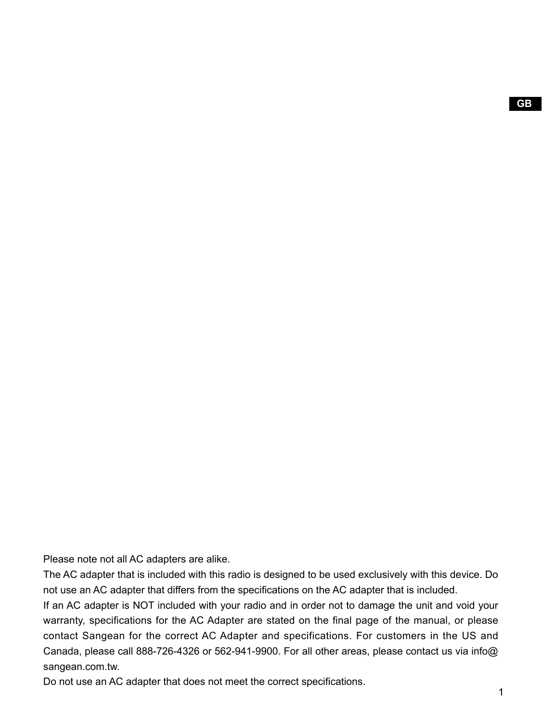Please note not all AC adapters are alike.

The AC adapter that is included with this radio is designed to be used exclusively with this device. Do not use an AC adapter that differs from the specifications on the AC adapter that is included.

If an AC adapter is NOT included with your radio and in order not to damage the unit and void your warranty, specifications for the AC Adapter are stated on the final page of the manual, or please contact Sangean for the correct AC Adapter and specifications. For customers in the US and Canada, please call 888-726-4326 or 562-941-9900. For all other areas, please contact us via info@ sangean.com.tw.

Do not use an AC adapter that does not meet the correct specifications.

 $\mathbf{1}$ 

**GB**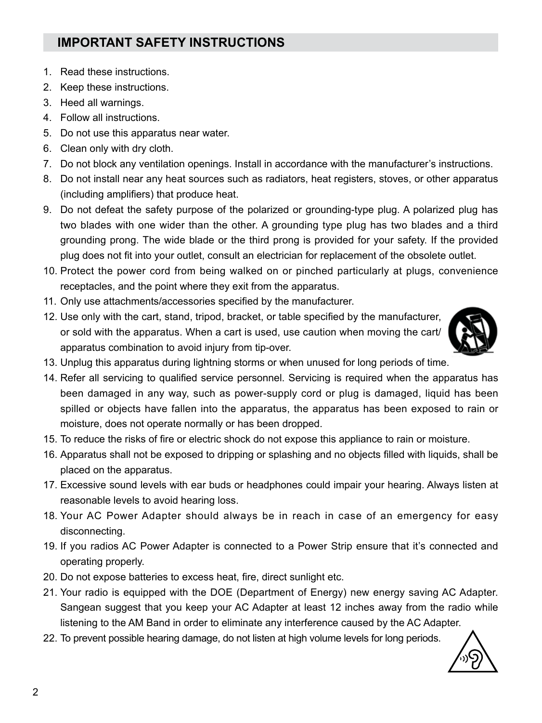## **IMPORTANT SAFETY INSTRUCTIONS**

- 1. Read these instructions.
- 2. Keep these instructions.
- 3. Heed all warnings.
- 4. Follow all instructions.
- 5. Do not use this apparatus near water.
- 6. Clean only with dry cloth.
- 7. Do not block any ventilation openings. Install in accordance with the manufacturer's instructions.
- 8. Do not install near any heat sources such as radiators, heat registers, stoves, or other apparatus (including amplifiers) that produce heat.
- 9. Do not defeat the safety purpose of the polarized or grounding-type plug. A polarized plug has two blades with one wider than the other. A grounding type plug has two blades and a third grounding prong. The wide blade or the third prong is provided for your safety. If the provided plug does not fit into your outlet, consult an electrician for replacement of the obsolete outlet.
- 10. Protect the power cord from being walked on or pinched particularly at plugs, convenience receptacles, and the point where they exit from the apparatus.
- 11. Only use attachments/accessories specified by the manufacturer.
- 12. Use only with the cart, stand, tripod, bracket, or table specified by the manufacturer, or sold with the apparatus. When a cart is used, use caution when moving the cart/ apparatus combination to avoid injury from tip-over.



- 13. Unplug this apparatus during lightning storms or when unused for long periods of time.
- 14. Refer all servicing to qualified service personnel. Servicing is required when the apparatus has been damaged in any way, such as power-supply cord or plug is damaged, liquid has been spilled or objects have fallen into the apparatus, the apparatus has been exposed to rain or moisture, does not operate normally or has been dropped.
- 15. To reduce the risks of fire or electric shock do not expose this appliance to rain or moisture.
- 16. Apparatus shall not be exposed to dripping or splashing and no objects filled with liquids, shall be placed on the apparatus.
- 17. Excessive sound levels with ear buds or headphones could impair your hearing. Always listen at reasonable levels to avoid hearing loss.
- 18. Your AC Power Adapter should always be in reach in case of an emergency for easy disconnecting.
- 19. If you radios AC Power Adapter is connected to a Power Strip ensure that it's connected and operating properly.
- 20. Do not expose batteries to excess heat, fire, direct sunlight etc.
- 21. Your radio is equipped with the DOE (Department of Energy) new energy saving AC Adapter. Sangean suggest that you keep your AC Adapter at least 12 inches away from the radio while listening to the AM Band in order to eliminate any interference caused by the AC Adapter.
- 22. To prevent possible hearing damage, do not listen at high volume levels for long periods.

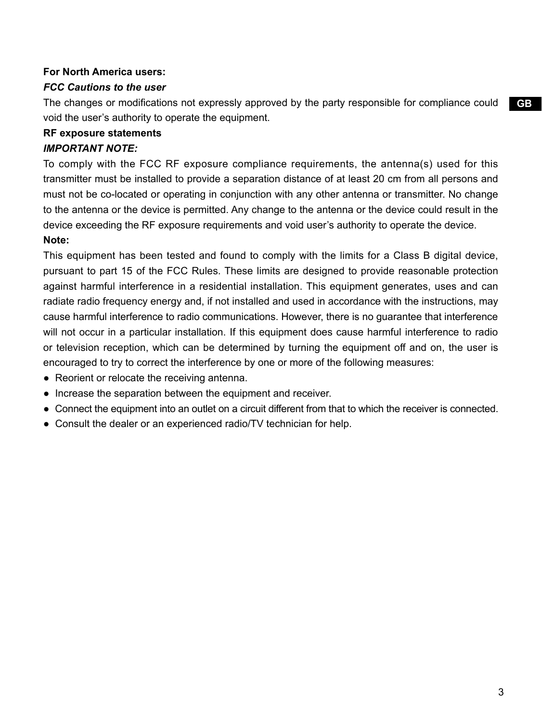#### **For North America users:**

#### *FCC Cautions to the user*

The changes or modifications not expressly approved by the party responsible for compliance could void the user's authority to operate the equipment.

#### **RF exposure statements**

#### *IMPORTANT NOTE:*

To comply with the FCC RF exposure compliance requirements, the antenna(s) used for this transmitter must be installed to provide a separation distance of at least 20 cm from all persons and must not be co-located or operating in conjunction with any other antenna or transmitter. No change to the antenna or the device is permitted. Any change to the antenna or the device could result in the device exceeding the RF exposure requirements and void user's authority to operate the device.

## **Note:**

This equipment has been tested and found to comply with the limits for a Class B digital device, pursuant to part 15 of the FCC Rules. These limits are designed to provide reasonable protection against harmful interference in a residential installation. This equipment generates, uses and can radiate radio frequency energy and, if not installed and used in accordance with the instructions, may cause harmful interference to radio communications. However, there is no guarantee that interference will not occur in a particular installation. If this equipment does cause harmful interference to radio or television reception, which can be determined by turning the equipment off and on, the user is encouraged to try to correct the interference by one or more of the following measures:

- Reorient or relocate the receiving antenna.
- Increase the separation between the equipment and receiver.
- Connect the equipment into an outlet on a circuit different from that to which the receiver is connected.
- Consult the dealer or an experienced radio/TV technician for help.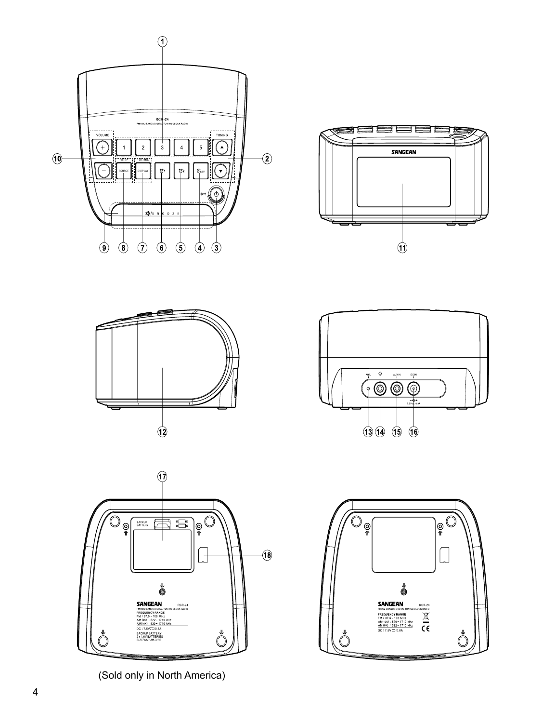









(Sold only in North America)

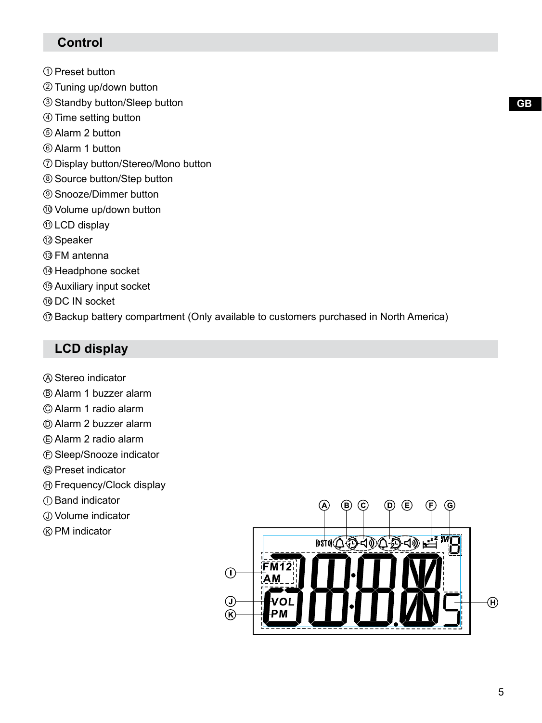## **Control**

- $\mathfrak I$  Preset button
- Tuning up/down button 2
- Standby button/Sleep button 3
- $\oplus$  Time setting button
- Alarm 2 button 5
- Alarm 1 button 6
- $\mathcal D$  Display button/Stereo/Mono button
- Source button/Step button 8
- Snooze/Dimmer button 9
- Volume up/down button 10
- $\mathop{\mathsf{0}\textrm{ }LCD}\nolimits$  display
- Speaker 12
- FM antenna 13
- $\circledast$  Headphone socket
- Auxiliary input socket 15
- DC IN socket 16
- $\textcircled{r}$  Backup battery compartment (Only available to customers purchased in North America)

## **LCD display**

- Stereo indicator A
- Alarm 1 buzzer alarm B
- Alarm 1 radio alarm C
- Alarm 2 buzzer alarm D
- Alarm 2 radio alarm E
- Sleep/Snooze indicator F
- Preset indicator G
- $\oplus$  Frequency/Clock display
- ${\mathbb D}$  Band indicator
- Volume indicator J
- $\circledR$  PM indicator

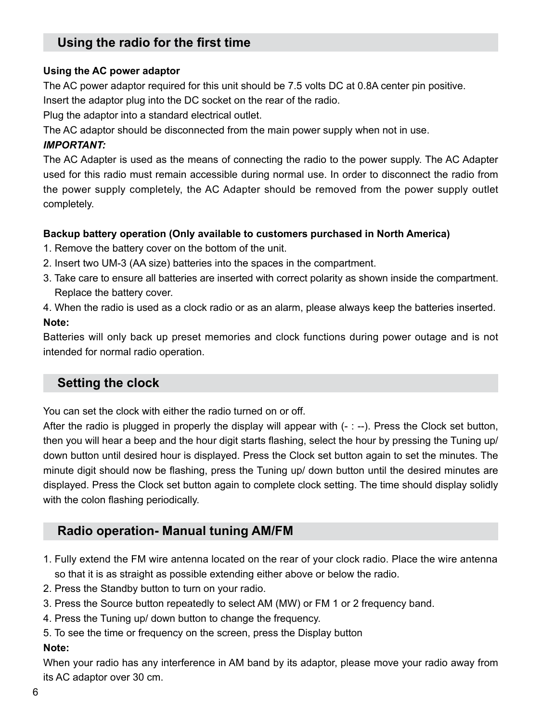## **Using the radio for the first time**

#### **Using the AC power adaptor**

The AC power adaptor required for this unit should be 7.5 volts DC at 0.8A center pin positive.

Insert the adaptor plug into the DC socket on the rear of the radio.

Plug the adaptor into a standard electrical outlet.

The AC adaptor should be disconnected from the main power supply when not in use.

## *IMPORTANT:*

The AC Adapter is used as the means of connecting the radio to the power supply. The AC Adapter used for this radio must remain accessible during normal use. In order to disconnect the radio from the power supply completely, the AC Adapter should be removed from the power supply outlet completely.

## **Backup battery operation (Only available to customers purchased in North America)**

- 1. Remove the battery cover on the bottom of the unit.
- 2. Insert two UM-3 (AA size) batteries into the spaces in the compartment.
- 3. Take care to ensure all batteries are inserted with correct polarity as shown inside the compartment. Replace the battery cover.
- 4. When the radio is used as a clock radio or as an alarm, please always keep the batteries inserted. **Note:**

Batteries will only back up preset memories and clock functions during power outage and is not intended for normal radio operation.

## **Setting the clock**

You can set the clock with either the radio turned on or off.

After the radio is plugged in properly the display will appear with  $(- -)$ . Press the Clock set button, then you will hear a beep and the hour digit starts flashing, select the hour by pressing the Tuning up/ down button until desired hour is displayed. Press the Clock set button again to set the minutes. The minute digit should now be flashing, press the Tuning up/ down button until the desired minutes are displayed. Press the Clock set button again to complete clock setting. The time should display solidly with the colon flashing periodically.

## **Radio operation- Manual tuning AM/FM**

- 1. Fully extend the FM wire antenna located on the rear of your clock radio. Place the wire antenna so that it is as straight as possible extending either above or below the radio.
- 2. Press the Standby button to turn on your radio.
- 3. Press the Source button repeatedly to select AM (MW) or FM 1 or 2 frequency band.
- 4. Press the Tuning up/ down button to change the frequency.
- 5. To see the time or frequency on the screen, press the Display button

## **Note:**

When your radio has any interference in AM band by its adaptor, please move your radio away from its AC adaptor over 30 cm.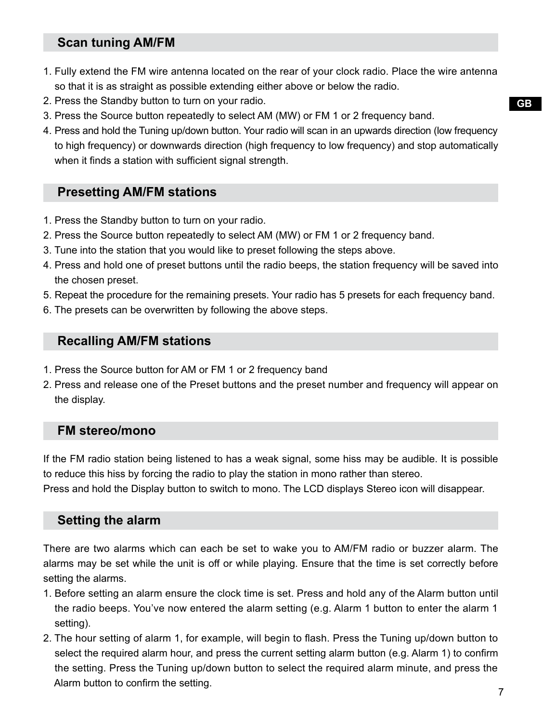## **Scan tuning AM/FM**

- 1. Fully extend the FM wire antenna located on the rear of your clock radio. Place the wire antenna so that it is as straight as possible extending either above or below the radio.
- 2. Press the Standby button to turn on your radio.
- 3. Press the Source button repeatedly to select AM (MW) or FM 1 or 2 frequency band.
- 4. Press and hold the Tuning up/down button. Your radio will scan in an upwards direction (low frequency to high frequency) or downwards direction (high frequency to low frequency) and stop automatically when it finds a station with sufficient signal strength.

## **Presetting AM/FM stations**

- 1. Press the Standby button to turn on your radio.
- 2. Press the Source button repeatedly to select AM (MW) or FM 1 or 2 frequency band.
- 3. Tune into the station that you would like to preset following the steps above.
- 4. Press and hold one of preset buttons until the radio beeps, the station frequency will be saved into the chosen preset.
- 5. Repeat the procedure for the remaining presets. Your radio has 5 presets for each frequency band.
- 6. The presets can be overwritten by following the above steps.

## **Recalling AM/FM stations**

- 1. Press the Source button for AM or FM 1 or 2 frequency band
- 2. Press and release one of the Preset buttons and the preset number and frequency will appear on the display.

## **FM stereo/mono**

If the FM radio station being listened to has a weak signal, some hiss may be audible. It is possible to reduce this hiss by forcing the radio to play the station in mono rather than stereo.

Press and hold the Display button to switch to mono. The LCD displays Stereo icon will disappear.

## **Setting the alarm**

There are two alarms which can each be set to wake you to AM/FM radio or buzzer alarm. The alarms may be set while the unit is off or while playing. Ensure that the time is set correctly before setting the alarms.

- 1. Before setting an alarm ensure the clock time is set. Press and hold any of the Alarm button until the radio beeps. You've now entered the alarm setting (e.g. Alarm 1 button to enter the alarm 1 setting).
- 2. The hour setting of alarm 1, for example, will begin to flash. Press the Tuning up/down button to select the required alarm hour, and press the current setting alarm button (e.g. Alarm 1) to confirm the setting. Press the Tuning up/down button to select the required alarm minute, and press the Alarm button to confirm the setting.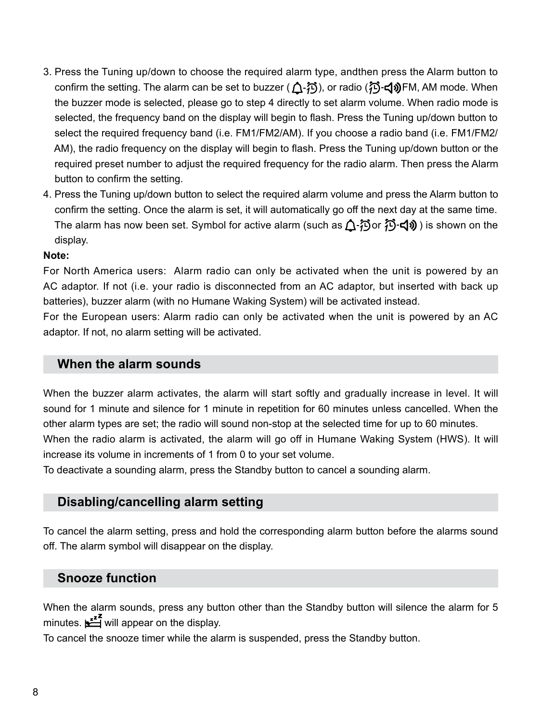- 3. Press the Tuning up/down to choose the required alarm type, andthen press the Alarm button to confirm the setting. The alarm can be set to buzzer ( $\bigcap$ - $\widehat{\{1\}}$ ), or radio ( $\widehat{\{1\}}$ - $\Box$ ))FM, AM mode. When the buzzer mode is selected, please go to step 4 directly to set alarm volume. When radio mode is selected, the frequency band on the display will begin to flash. Press the Tuning up/down button to select the required frequency band (i.e. FM1/FM2/AM). If you choose a radio band (i.e. FM1/FM2/ AM), the radio frequency on the display will begin to flash. Press the Tuning up/down button or the required preset number to adjust the required frequency for the radio alarm. Then press the Alarm button to confirm the setting.
- 4. Press the Tuning up/down button to select the required alarm volume and press the Alarm button to confirm the setting. Once the alarm is set, it will automatically go off the next day at the same time. The alarm has now been set. Symbol for active alarm (such as  $\Lambda$ - $\tilde{\Lambda}$  or  $\tilde{\Lambda}$ - $\tilde{\Lambda}$ ) is shown on the display.

#### **Note:**

For North America users: Alarm radio can only be activated when the unit is powered by an AC adaptor. If not (i.e. your radio is disconnected from an AC adaptor, but inserted with back up batteries), buzzer alarm (with no Humane Waking System) will be activated instead.

For the European users: Alarm radio can only be activated when the unit is powered by an AC adaptor. If not, no alarm setting will be activated.

## **When the alarm sounds**

When the buzzer alarm activates, the alarm will start softly and gradually increase in level. It will sound for 1 minute and silence for 1 minute in repetition for 60 minutes unless cancelled. When the other alarm types are set; the radio will sound non-stop at the selected time for up to 60 minutes. When the radio alarm is activated, the alarm will go off in Humane Waking System (HWS). It will increase its volume in increments of 1 from 0 to your set volume.

To deactivate a sounding alarm, press the Standby button to cancel a sounding alarm.

## **Disabling/cancelling alarm setting**

To cancel the alarm setting, press and hold the corresponding alarm button before the alarms sound off. The alarm symbol will disappear on the display.

## **Snooze function**

When the alarm sounds, press any button other than the Standby button will silence the alarm for 5 minutes.  $\mathbf{L}^{\mathbf{z}^{\mathbf{z}}}$  will appear on the display.

To cancel the snooze timer while the alarm is suspended, press the Standby button.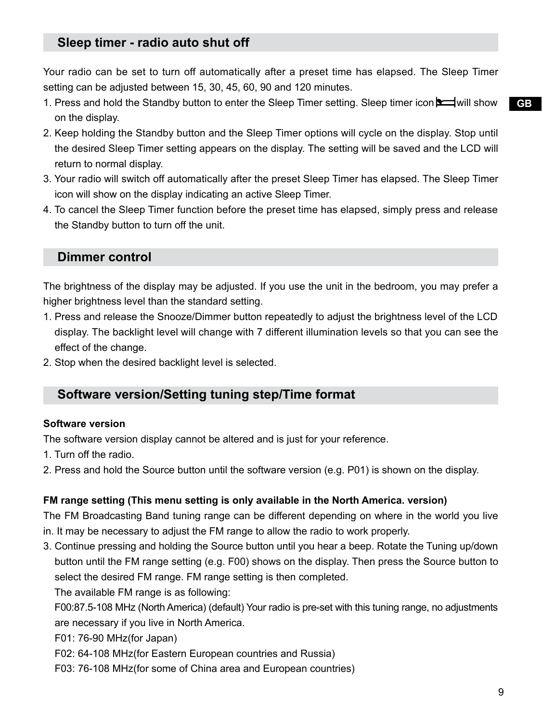## **Sleep timer - radio auto shut off**

Your radio can be set to turn off automatically after a preset time has elapsed. The Sleep Timer setting can be adjusted between 15, 30, 45, 60, 90 and 120 minutes.

- 1. Press and hold the Standby button to enter the Sleep Timer setting. Sleep timer icon  $\square$  will show on the display.
- 2. Keep holding the Standby button and the Sleep Timer options will cycle on the display. Stop until the desired Sleep Timer setting appears on the display. The setting will be saved and the LCD will return to normal display.
- 3. Your radio will switch off automatically after the preset Sleep Timer has elapsed. The Sleep Timer icon will show on the display indicating an active Sleep Timer.
- 4. To cancel the Sleep Timer function before the preset time has elapsed, simply press and release the Standby button to turn off the unit.

## **Dimmer control**

The brightness of the display may be adjusted. If you use the unit in the bedroom, you may prefer a higher brightness level than the standard setting.

- 1. Press and release the Snooze/Dimmer button repeatedly to adjust the brightness level of the LCD display. The backlight level will change with 7 different illumination levels so that you can see the effect of the change.
- 2. Stop when the desired backlight level is selected.

## **Software version/Setting tuning step/Time format**

#### **Software version**

The software version display cannot be altered and is just for your reference.

- 1. Turn off the radio.
- 2. Press and hold the Source button until the software version (e.g. P01) is shown on the display.

#### **FM range setting (This menu setting is only available in the North America. version)**

The FM Broadcasting Band tuning range can be different depending on where in the world you live in. It may be necessary to adjust the FM range to allow the radio to work properly.

3. Continue pressing and holding the Source button until you hear a beep. Rotate the Tuning up/down button until the FM range setting (e.g. F00) shows on the display. Then press the Source button to select the desired FM range. FM range setting is then completed.

The available FM range is as following:

 F00:87.5-108 MHz (North America) (default) Your radio is pre-set with this tuning range, no adjustments are necessary if you live in North America.

- F01: 76-90 MHz(for Japan)
- F02: 64-108 MHz(for Eastern European countries and Russia)
- F03: 76-108 MHz(for some of China area and European countries)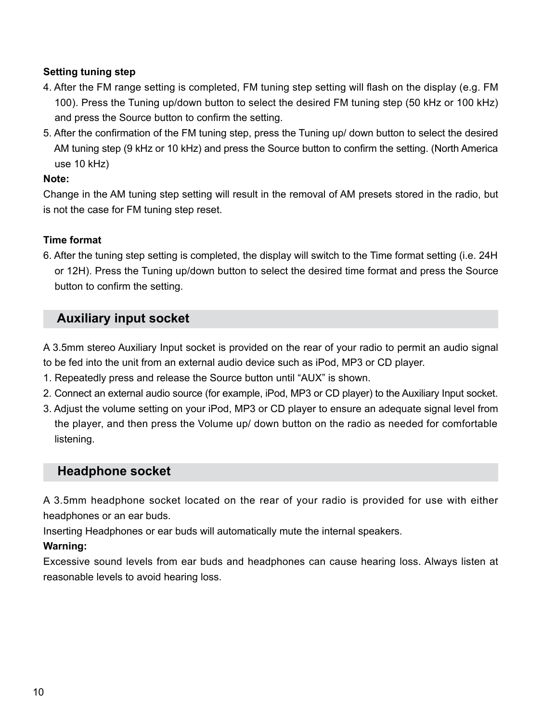#### **Setting tuning step**

- 4. After the FM range setting is completed, FM tuning step setting will flash on the display (e.g. FM 100). Press the Tuning up/down button to select the desired FM tuning step (50 kHz or 100 kHz) and press the Source button to confirm the setting.
- 5. After the confirmation of the FM tuning step, press the Tuning up/ down button to select the desired AM tuning step (9 kHz or 10 kHz) and press the Source button to confirm the setting. (North America use 10 kHz)

#### **Note:**

Change in the AM tuning step setting will result in the removal of AM presets stored in the radio, but is not the case for FM tuning step reset.

#### **Time format**

6. After the tuning step setting is completed, the display will switch to the Time format setting (i.e. 24H or 12H). Press the Tuning up/down button to select the desired time format and press the Source button to confirm the setting.

## **Auxiliary input socket**

A 3.5mm stereo Auxiliary Input socket is provided on the rear of your radio to permit an audio signal to be fed into the unit from an external audio device such as iPod, MP3 or CD player.

- 1. Repeatedly press and release the Source button until "AUX" is shown.
- 2. Connect an external audio source (for example, iPod, MP3 or CD player) to the Auxiliary Input socket.
- 3. Adjust the volume setting on your iPod, MP3 or CD player to ensure an adequate signal level from the player, and then press the Volume up/ down button on the radio as needed for comfortable listening.

## **Headphone socket**

A 3.5mm headphone socket located on the rear of your radio is provided for use with either headphones or an ear buds.

Inserting Headphones or ear buds will automatically mute the internal speakers.

## **Warning:**

Excessive sound levels from ear buds and headphones can cause hearing loss. Always listen at reasonable levels to avoid hearing loss.